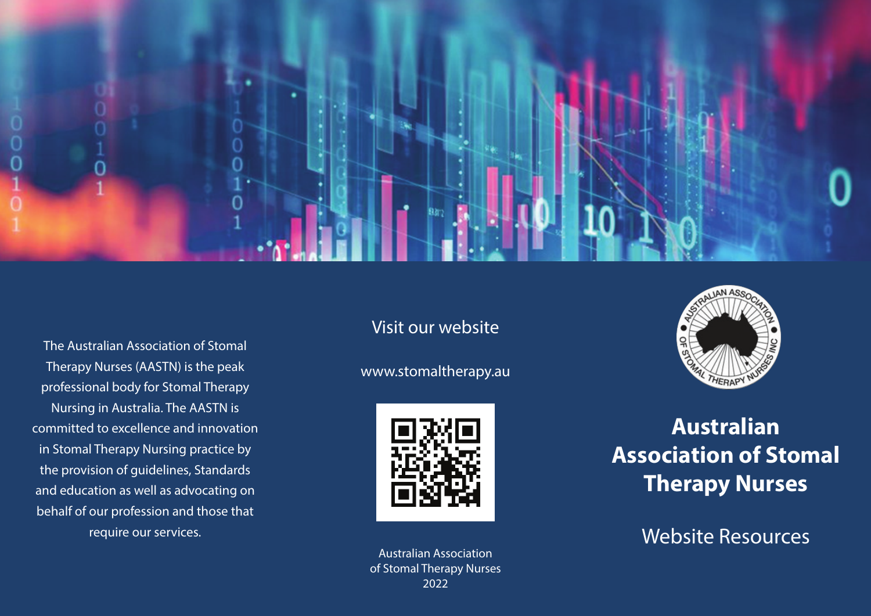

The Australian Association of Stomal Therapy Nurses (AASTN) is the peak professional body for Stomal Therapy Nursing in Australia. The AASTN is committed to excellence and innovation in Stomal Therapy Nursing practice by the provision of guidelines, Standards and education as well as advocating on behalf of our profession and those that require our services.

#### Visit our website

#### www.stomaltherapy.au



Australian Association of Stomal Therapy Nurses 2022



# **Australian Association of Stomal Therapy Nurses**

Website Resources